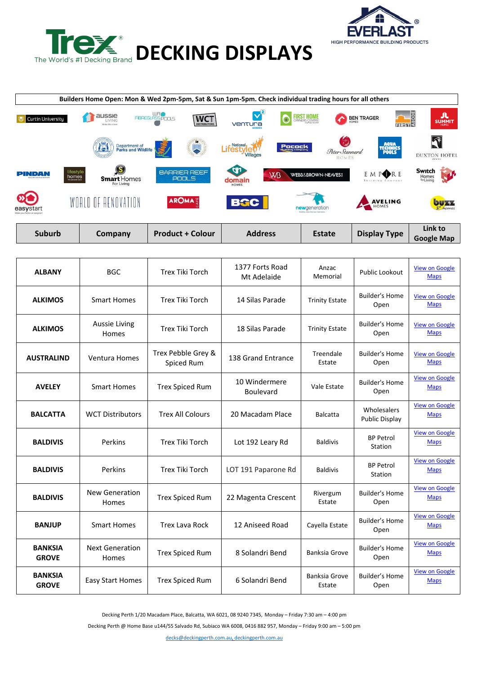



|                                                |                                                                                    | Builders Home Open: Mon & Wed 2pm-5pm, Sat & Sun 1pm-5pm. Check individual trading hours for all others |                                      |                                                                  |                                             |                                           |
|------------------------------------------------|------------------------------------------------------------------------------------|---------------------------------------------------------------------------------------------------------|--------------------------------------|------------------------------------------------------------------|---------------------------------------------|-------------------------------------------|
| Curtin University                              | aussie<br>LIVING<br>Make the move                                                  | <b>WRO</b><br><b>FIBREGLASS POOLS</b><br><b>WCT</b><br><b>DISTRIBUTORS</b>                              | $\mathbf{v}^{\mathrm{a}}$<br>ventura | <b>FIRST HOME</b>                                                | FIRST <sup>S</sup><br>BEN TRAGER            | л<br><b>SUMMIT</b><br><b>HOMES</b>        |
|                                                | Department of<br>Parks and Wildlife<br>141                                         | $\bullet$                                                                                               | National<br>Villages                 | $\mathcal{C}$<br><b>Pocock</b><br>Peter Stannard<br><b>HOMES</b> | AQUA<br>TECHNICS<br>POOLS                   | Ñ<br><b>DUXTON HOTEL</b><br><b>WEATER</b> |
| PINDAN                                         | 'S<br>lifestyle<br>homes<br><b>Smart</b> Homes<br>The personal touch<br>For Living | <b>BARRIER REEF</b><br>POOLS                                                                            | CD<br>WB<br>domain<br>HOMES          | <b>WEBB&amp;BROWN-NEAVES!</b>                                    | E M P <b>ORE</b><br><b>BUILDING COMPANY</b> | Switch<br>Homes<br>for Livina             |
| »r<br>easystart<br>Make your home an easystart | WORLD OF RENOVATION                                                                | <b>AROMA</b>                                                                                            | <b>BGC</b>                           | newgeneration<br>Building value into your new home               | <b>AVELING</b><br>HOMES                     | <b>buzz</b><br>$1st$ homes                |
| <b>Suburb</b>                                  | Company                                                                            | <b>Product + Colour</b>                                                                                 | <b>Address</b>                       | Estate                                                           | <b>Display Type</b>                         | Link to<br><b>Google Map</b>              |

| <b>ALBANY</b>                  | <b>BGC</b>                      | Trex Tiki Torch                  | 1377 Forts Road<br>Mt Adelaide | Anzac<br>Memorial       | Public Lookout                       | <b>View on Google</b><br><b>Maps</b> |
|--------------------------------|---------------------------------|----------------------------------|--------------------------------|-------------------------|--------------------------------------|--------------------------------------|
| <b>ALKIMOS</b>                 | <b>Smart Homes</b>              | <b>Trex Tiki Torch</b>           | 14 Silas Parade                | <b>Trinity Estate</b>   | <b>Builder's Home</b><br>Open        | <b>View on Google</b><br><b>Maps</b> |
| <b>ALKIMOS</b>                 | <b>Aussie Living</b><br>Homes   | Trex Tiki Torch                  | 18 Silas Parade                | <b>Trinity Estate</b>   | <b>Builder's Home</b><br>Open        | <b>View on Google</b><br><b>Maps</b> |
| <b>AUSTRALIND</b>              | <b>Ventura Homes</b>            | Trex Pebble Grey &<br>Spiced Rum | 138 Grand Entrance             | Treendale<br>Estate     | <b>Builder's Home</b><br>Open        | <b>View on Google</b><br><b>Maps</b> |
| <b>AVELEY</b>                  | <b>Smart Homes</b>              | <b>Trex Spiced Rum</b>           | 10 Windermere<br>Boulevard     | Vale Estate             | <b>Builder's Home</b><br>Open        | <b>View on Google</b><br><b>Maps</b> |
| <b>BALCATTA</b>                | <b>WCT Distributors</b>         | <b>Trex All Colours</b>          | 20 Macadam Place               | <b>Balcatta</b>         | Wholesalers<br><b>Public Display</b> | <b>View on Google</b><br><b>Maps</b> |
| <b>BALDIVIS</b>                | Perkins                         | Trex Tiki Torch                  | Lot 192 Leary Rd               | <b>Baldivis</b>         | <b>BP Petrol</b><br>Station          | <b>View on Google</b><br><b>Maps</b> |
| <b>BALDIVIS</b>                | Perkins                         | Trex Tiki Torch                  | LOT 191 Paparone Rd            | <b>Baldivis</b>         | <b>BP Petrol</b><br>Station          | <b>View on Google</b><br><b>Maps</b> |
| <b>BALDIVIS</b>                | <b>New Generation</b><br>Homes  | <b>Trex Spiced Rum</b>           | 22 Magenta Crescent            | Rivergum<br>Estate      | <b>Builder's Home</b><br>Open        | <b>View on Google</b><br><b>Maps</b> |
| <b>BANJUP</b>                  | <b>Smart Homes</b>              | <b>Trex Lava Rock</b>            | 12 Aniseed Road                | Cayella Estate          | Builder's Home<br>Open               | <b>View on Google</b><br><b>Maps</b> |
| <b>BANKSIA</b><br><b>GROVE</b> | <b>Next Generation</b><br>Homes | <b>Trex Spiced Rum</b>           | 8 Solandri Bend                | <b>Banksia Grove</b>    | <b>Builder's Home</b><br>Open        | <b>View on Google</b><br><b>Maps</b> |
| <b>BANKSIA</b><br><b>GROVE</b> | <b>Easy Start Homes</b>         | <b>Trex Spiced Rum</b>           | 6 Solandri Bend                | Banksia Grove<br>Estate | <b>Builder's Home</b><br>Open        | <b>View on Google</b><br><b>Maps</b> |

Decking Perth 1/20 Macadam Place, Balcatta, WA 6021, 08 9240 7345, Monday – Friday 7:30 am – 4:00 pm

Decking Perth @ Home Base u144/55 Salvado Rd, Subiaco WA 6008, 0416 882 957, Monday – Friday 9:00 am – 5:00 pm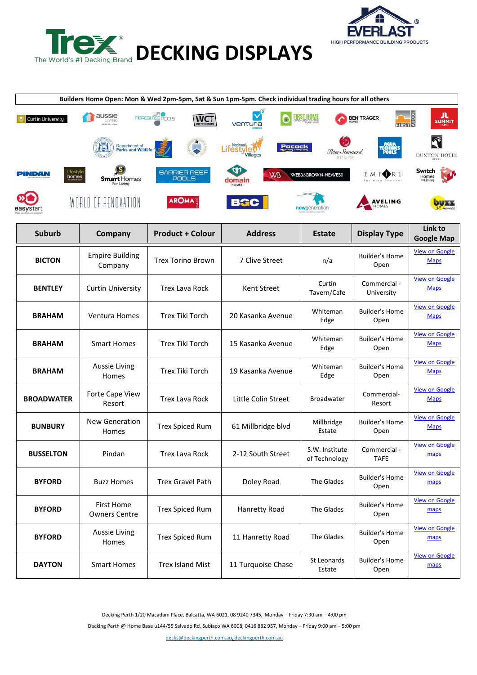



| Builders Home Open: Mon & Wed 2pm-5pm, Sat & Sun 1pm-5pm. Check individual trading hours for all others |                                           |                                       |                                |                                 |                                         |                                      |  |
|---------------------------------------------------------------------------------------------------------|-------------------------------------------|---------------------------------------|--------------------------------|---------------------------------|-----------------------------------------|--------------------------------------|--|
| <b>Curtin University</b>                                                                                | aussie<br>LIVING                          | URO<br>FIBREGLASS POOLS<br><b>WCT</b> | ventura                        | <b>FIRST HOME</b>               | FIRST <sup>S</sup><br><b>BEN TRAGER</b> | SUMMIT                               |  |
|                                                                                                         | Department of<br>Parks and Wildlife       |                                       | National<br>Pocock<br>Villages | Peter Stannard<br>HOMES         |                                         | <b>DUXTON HOTEL</b>                  |  |
| ifestyle<br>PINDAN<br>homes                                                                             | <b>Smart</b> Homes<br>For Living          | <b>BARRIER REEF</b><br>POOLS          | <b>W<sub>B</sub></b><br>omain  | <b>WEBB&amp;BROWN-NEAVES!</b>   | E M POR E                               | Switch<br>Homes                      |  |
|                                                                                                         | WORLD OF RENOVATION                       | <b>AROMA</b>                          | <b>BGC</b>                     | newgeneration                   | <b>AVELING</b>                          |                                      |  |
| <b>Suburb</b>                                                                                           | Company                                   | <b>Product + Colour</b>               | <b>Address</b>                 | <b>Estate</b>                   | <b>Display Type</b>                     | Link to<br><b>Google Map</b>         |  |
| <b>BICTON</b>                                                                                           | <b>Empire Building</b><br>Company         | <b>Trex Torino Brown</b>              | 7 Clive Street                 | n/a                             | Builder's Home<br>Open                  | <b>View on Google</b><br><b>Maps</b> |  |
| <b>BENTLEY</b>                                                                                          | <b>Curtin University</b>                  | <b>Trex Lava Rock</b>                 | Kent Street                    | Curtin<br>Tavern/Cafe           | Commercial -<br>University              | <b>View on Google</b><br><b>Maps</b> |  |
| <b>BRAHAM</b>                                                                                           | Ventura Homes                             | <b>Trex Tiki Torch</b>                | 20 Kasanka Avenue              | Whiteman<br>Edge                | <b>Builder's Home</b><br>Open           | <b>View on Google</b><br><b>Maps</b> |  |
| <b>BRAHAM</b>                                                                                           | <b>Smart Homes</b>                        | Trex Tiki Torch                       | 15 Kasanka Avenue              | Whiteman<br>Edge                | <b>Builder's Home</b><br>Open           | <b>View on Google</b><br><b>Maps</b> |  |
| <b>BRAHAM</b>                                                                                           | <b>Aussie Living</b><br>Homes             | <b>Trex Tiki Torch</b>                | 19 Kasanka Avenue              | Whiteman<br>Edge                | <b>Builder's Home</b><br>Open           | <b>View on Google</b><br><b>Maps</b> |  |
| <b>BROADWATER</b>                                                                                       | Forte Cape View<br>Resort                 | <b>Trex Lava Rock</b>                 | Little Colin Street            | <b>Broadwater</b>               | Commercial-<br>Resort                   | <b>View on Google</b><br><b>Maps</b> |  |
| <b>BUNBURY</b>                                                                                          | New Generation<br>Homes                   | <b>Trex Spiced Rum</b>                | 61 Millbridge blvd             | Millbridge<br>Estate            | Builder's Home<br>Open                  | <b>View on Google</b><br><b>Maps</b> |  |
| <b>BUSSELTON</b>                                                                                        | Pindan                                    | <b>Trex Lava Rock</b>                 | 2-12 South Street              | S.W. Institute<br>of Technology | Commercial -<br><b>TAFE</b>             | <b>View on Google</b><br>maps        |  |
| <b>BYFORD</b>                                                                                           | <b>Buzz Homes</b>                         | <b>Trex Gravel Path</b>               | Doley Road                     | The Glades                      | <b>Builder's Home</b><br>Open           | <b>View on Google</b><br>maps        |  |
| <b>BYFORD</b>                                                                                           | <b>First Home</b><br><b>Owners Centre</b> | <b>Trex Spiced Rum</b>                | Hanretty Road                  | The Glades                      | <b>Builder's Home</b><br>Open           | <b>View on Google</b><br>maps        |  |
| <b>BYFORD</b>                                                                                           | Aussie Living<br>Homes                    | <b>Trex Spiced Rum</b>                | 11 Hanretty Road               | The Glades                      | <b>Builder's Home</b><br>Open           | <b>View on Google</b><br>maps        |  |
| <b>DAYTON</b>                                                                                           | <b>Smart Homes</b>                        | <b>Trex Island Mist</b>               | 11 Turquoise Chase             | St Leonards<br>Estate           | <b>Builder's Home</b><br>Open           | <b>View on Google</b><br>maps        |  |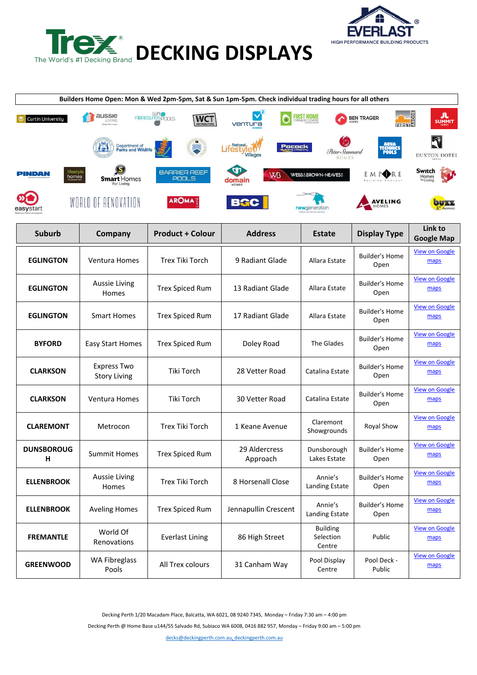



| Builders Home Open: Mon & Wed 2pm-5pm, Sat & Sun 1pm-5pm. Check individual trading hours for all others |                                            |                               |                                                 |                                        |                                         |                               |  |
|---------------------------------------------------------------------------------------------------------|--------------------------------------------|-------------------------------|-------------------------------------------------|----------------------------------------|-----------------------------------------|-------------------------------|--|
| <b>Curtin University</b>                                                                                | aussie<br>LIVING                           | EIBREGLASSPOOLS<br><b>WCT</b> | ventura                                         | <b>FIRST HOME</b>                      | FIRST <sup>A</sup><br><b>BEN TRAGER</b> | л<br><b>SUMMIT</b>            |  |
|                                                                                                         | Department of<br><b>Parks and Wildlife</b> |                               | National<br>Pocock<br><b>ITEST\</b><br>Villages | Peter Stannard<br>HOMES                |                                         | <b>DUXTON HOTEL</b>           |  |
| ifestyle<br>PINDAN<br>homes                                                                             | <b>Smart</b> Homes<br>For Living           | <b>BARRIER REEF</b><br>POOLS  | <b>W<sub>B</sub></b><br>domain                  | <b>WEBB&amp;BROWN-NEAVES</b>           | E M P <b>ORE</b>                        | Switch<br>Homes<br>for Living |  |
| easystart                                                                                               | WORLD OF RENOVATION                        | <b>AROMA</b>                  | <b>BGC</b>                                      | newgeneration                          | <b>AVELING</b>                          | 51744                         |  |
| <b>Suburb</b>                                                                                           | Company                                    | <b>Product + Colour</b>       | <b>Address</b>                                  | <b>Estate</b>                          | <b>Display Type</b>                     | Link to<br><b>Google Map</b>  |  |
| <b>EGLINGTON</b>                                                                                        | Ventura Homes                              | <b>Trex Tiki Torch</b>        | 9 Radiant Glade                                 | Allara Estate                          | <b>Builder's Home</b><br>Open           | <b>View on Google</b><br>maps |  |
| <b>EGLINGTON</b>                                                                                        | <b>Aussie Living</b><br>Homes              | <b>Trex Spiced Rum</b>        | 13 Radiant Glade                                | Allara Estate                          | <b>Builder's Home</b><br>Open           | <b>View on Google</b><br>maps |  |
| <b>EGLINGTON</b>                                                                                        | <b>Smart Homes</b>                         | <b>Trex Spiced Rum</b>        | 17 Radiant Glade                                | Allara Estate                          | <b>Builder's Home</b><br>Open           | <b>View on Google</b><br>maps |  |
| <b>BYFORD</b>                                                                                           | <b>Easy Start Homes</b>                    | <b>Trex Spiced Rum</b>        | Doley Road                                      | The Glades                             | <b>Builder's Home</b><br>Open           | <b>View on Google</b><br>maps |  |
| <b>CLARKSON</b>                                                                                         | <b>Express Two</b><br><b>Story Living</b>  | Tiki Torch                    | 28 Vetter Road                                  | Catalina Estate                        | <b>Builder's Home</b><br>Open           | <b>View on Google</b><br>maps |  |
| <b>CLARKSON</b>                                                                                         | Ventura Homes                              | Tiki Torch                    | 30 Vetter Road                                  | Catalina Estate                        | <b>Builder's Home</b><br>Open           | <b>View on Google</b><br>maps |  |
| <b>CLAREMONT</b>                                                                                        | Metrocon                                   | Trex Tiki Torch               | 1 Keane Avenue                                  | Claremont<br>Showgrounds               | Royal Show                              | <b>View on Google</b><br>maps |  |
| <b>DUNSBOROUG</b><br>н                                                                                  | <b>Summit Homes</b>                        | Trex Spiced Rum               | 29 Aldercress<br>Approach                       | Dunsborough<br>Lakes Estate            | <b>Builder's Home</b><br>Open           | <b>View on Google</b><br>maps |  |
| <b>ELLENBROOK</b>                                                                                       | Aussie Living<br>Homes                     | Trex Tiki Torch               | 8 Horsenall Close                               | Annie's<br><b>Landing Estate</b>       | <b>Builder's Home</b><br>Open           | <b>View on Google</b><br>maps |  |
| <b>ELLENBROOK</b>                                                                                       | <b>Aveling Homes</b>                       | <b>Trex Spiced Rum</b>        | Jennapullin Crescent                            | Annie's<br>Landing Estate              | <b>Builder's Home</b><br>Open           | <b>View on Google</b><br>maps |  |
| <b>FREMANTLE</b>                                                                                        | World Of<br>Renovations                    | <b>Everlast Lining</b>        | 86 High Street                                  | <b>Building</b><br>Selection<br>Centre | Public                                  | <b>View on Google</b><br>maps |  |
| <b>GREENWOOD</b>                                                                                        | <b>WA Fibreglass</b><br>Pools              | All Trex colours              | 31 Canham Way                                   | Pool Display<br>Centre                 | Pool Deck -<br>Public                   | <b>View on Google</b><br>maps |  |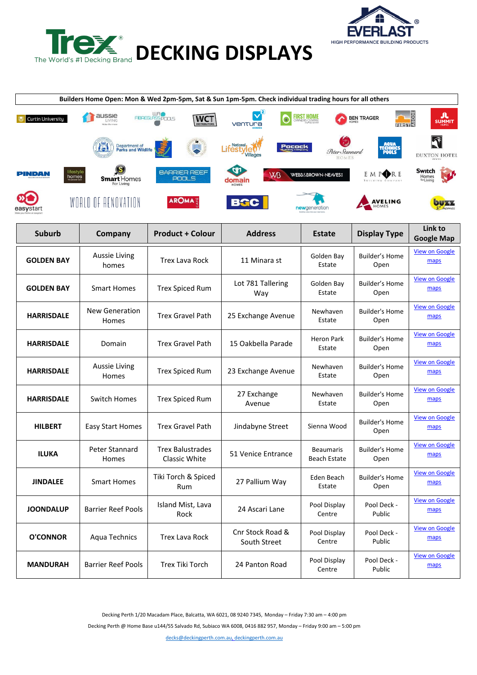



| Builders Home Open: Mon & Wed 2pm-5pm, Sat & Sun 1pm-5pm. Check individual trading hours for all others |                                     |                                       |                                  |                                         |                                         |                               |  |
|---------------------------------------------------------------------------------------------------------|-------------------------------------|---------------------------------------|----------------------------------|-----------------------------------------|-----------------------------------------|-------------------------------|--|
| <b>Curtin University</b>                                                                                | aussie<br><b>IVING</b>              | URO<br>FIBREGLASS POOLS<br><b>WCT</b> | ventura                          | <b>FIRST HOME</b>                       | FIRST <sup>S</sup><br><b>BEN TRAGER</b> | л<br><b>SUMMIT</b>            |  |
|                                                                                                         | Department of<br>Parks and Wildlife |                                       | National<br>Pocock<br>Villages   | Peter Stannard                          |                                         | <b>DUXTON HOTEL</b>           |  |
| ifestyle<br>PINDAN<br>homes                                                                             | <b>Smart</b> Homes<br>For Living    | <b>BARRIER REEF</b><br>POOLS          | <b>W<sub>B</sub></b><br>Iomain   | <b>WEBB&amp;BROWN-NEAVES</b>            | E M POR E                               | Switch<br>Homes<br>» Livina   |  |
| asvstan                                                                                                 | WORLD OF RENOVATION                 | <b>AROMA</b>                          | <b>BGC</b>                       | newgeneration                           | <b>AVELING</b>                          |                               |  |
| <b>Suburb</b>                                                                                           | Company                             | <b>Product + Colour</b>               | <b>Address</b>                   | <b>Estate</b>                           | <b>Display Type</b>                     | Link to<br><b>Google Map</b>  |  |
| <b>GOLDEN BAY</b>                                                                                       | <b>Aussie Living</b><br>homes       | <b>Trex Lava Rock</b>                 | 11 Minara st                     | Golden Bay<br>Estate                    | <b>Builder's Home</b><br>Open           | <b>View on Google</b><br>maps |  |
| <b>GOLDEN BAY</b>                                                                                       | <b>Smart Homes</b>                  | <b>Trex Spiced Rum</b>                | Lot 781 Tallering<br>Way         | Golden Bay<br>Estate                    | Builder's Home<br>Open                  | <b>View on Google</b><br>maps |  |
| <b>HARRISDALE</b>                                                                                       | <b>New Generation</b><br>Homes      | <b>Trex Gravel Path</b>               | 25 Exchange Avenue               | Newhaven<br>Estate                      | <b>Builder's Home</b><br>Open           | <b>View on Google</b><br>maps |  |
| <b>HARRISDALE</b>                                                                                       | Domain                              | <b>Trex Gravel Path</b>               | 15 Oakbella Parade               | <b>Heron Park</b><br>Estate             | <b>Builder's Home</b><br>Open           | <b>View on Google</b><br>maps |  |
| <b>HARRISDALE</b>                                                                                       | <b>Aussie Living</b><br>Homes       | <b>Trex Spiced Rum</b>                | 23 Exchange Avenue               | Newhaven<br>Estate                      | <b>Builder's Home</b><br>Open           | <b>View on Google</b><br>maps |  |
| <b>HARRISDALE</b>                                                                                       | <b>Switch Homes</b>                 | <b>Trex Spiced Rum</b>                | 27 Exchange<br>Avenue            | Newhaven<br>Estate                      | <b>Builder's Home</b><br>Open           | <b>View on Google</b><br>maps |  |
| <b>HILBERT</b>                                                                                          | <b>Easy Start Homes</b>             | <b>Trex Gravel Path</b>               | Jindabyne Street                 | Sienna Wood                             | <b>Builder's Home</b><br>Open           | <b>View on Google</b><br>maps |  |
| <b>ILUKA</b>                                                                                            | Peter Stannard<br>Homes             | Trex Balustrades<br>Classic White     | 51 Venice Entrance               | <b>Beaumaris</b><br><b>Beach Estate</b> | Builder's Home<br>Open                  | <b>View on Google</b><br>maps |  |
| <b>JINDALEE</b>                                                                                         | <b>Smart Homes</b>                  | Tiki Torch & Spiced<br>Rum            | 27 Pallium Way                   | Eden Beach<br>Estate                    | <b>Builder's Home</b><br>Open           | <b>View on Google</b><br>maps |  |
| <b>JOONDALUP</b>                                                                                        | <b>Barrier Reef Pools</b>           | Island Mist, Lava<br>Rock             | 24 Ascari Lane                   | Pool Display<br>Centre                  | Pool Deck -<br>Public                   | <b>View on Google</b><br>maps |  |
| <b>O'CONNOR</b>                                                                                         | Aqua Technics                       | Trex Lava Rock                        | Cnr Stock Road &<br>South Street | Pool Display<br>Centre                  | Pool Deck -<br>Public                   | <b>View on Google</b><br>maps |  |
| <b>MANDURAH</b>                                                                                         | <b>Barrier Reef Pools</b>           | Trex Tiki Torch                       | 24 Panton Road                   | Pool Display<br>Centre                  | Pool Deck -<br>Public                   | <b>View on Google</b><br>maps |  |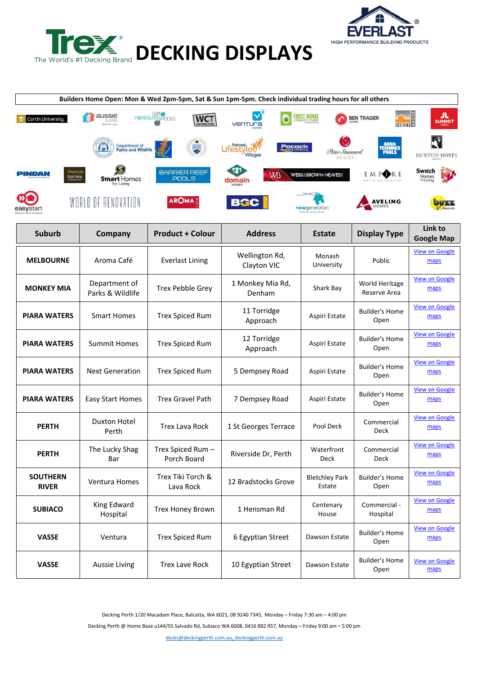



| Builders Home Open: Mon & Wed 2pm-5pm, Sat & Sun 1pm-5pm. Check individual trading hours for all others |                                     |                                  |                                |                                 |                                             |                               |  |
|---------------------------------------------------------------------------------------------------------|-------------------------------------|----------------------------------|--------------------------------|---------------------------------|---------------------------------------------|-------------------------------|--|
| <b>Curtin University</b>                                                                                | aussie<br><b>IVING</b>              | URO<br>FIBREGLASS POOLS<br>WCT   | ventura                        | <b>FIRST HOME</b>               | FIRST <sup>&amp;</sup><br><b>BEN TRAGER</b> | л<br><b>SUMMIT</b>            |  |
|                                                                                                         | Department of<br>Parks and Wildlife |                                  | National<br>Pocock<br>Villages | Peter Stannard                  |                                             | <b>DUXTON HOTEL</b>           |  |
| lifestyle<br>PINDAN<br>homes                                                                            | <b>Smart</b> Homes<br>For Living    | <b>BARRIER REEF</b><br>POOLS     | <b>W<sub>B</sub></b><br>domain | <b>WEBB&amp;BROWN-NEAVES</b>    | E M P <b>ORE</b>                            | Switch<br>Homes<br>» Livina   |  |
| asvstan                                                                                                 | WORLD OF RENOVATION                 | <b>AROMA</b>                     | <b>BGC</b>                     | newgeneration                   | <b>AVELING</b>                              |                               |  |
| <b>Suburb</b>                                                                                           | Company                             | <b>Product + Colour</b>          | <b>Address</b>                 | <b>Estate</b>                   | <b>Display Type</b>                         | Link to<br><b>Google Map</b>  |  |
| <b>MELBOURNE</b>                                                                                        | Aroma Café                          | <b>Everlast Lining</b>           | Wellington Rd,<br>Clayton VIC  | Monash<br>University            | Public                                      | <b>View on Google</b><br>maps |  |
| <b>MONKEY MIA</b>                                                                                       | Department of<br>Parks & Wildlife   | <b>Trex Pebble Grey</b>          | 1 Monkey Mia Rd,<br>Denham     | Shark Bay                       | World Heritage<br>Reserve Area              | <b>View on Google</b><br>maps |  |
| <b>PIARA WATERS</b>                                                                                     | <b>Smart Homes</b>                  | <b>Trex Spiced Rum</b>           | 11 Torridge<br>Approach        | Aspiri Estate                   | <b>Builder's Home</b><br>Open               | <b>View on Google</b><br>maps |  |
| <b>PIARA WATERS</b>                                                                                     | <b>Summit Homes</b>                 | <b>Trex Spiced Rum</b>           | 12 Torridge<br>Approach        | Aspiri Estate                   | <b>Builder's Home</b><br>Open               | <b>View on Google</b><br>maps |  |
| <b>PIARA WATERS</b>                                                                                     | <b>Next Generation</b>              | <b>Trex Spiced Rum</b>           | 5 Dempsey Road                 | Aspiri Estate                   | <b>Builder's Home</b><br>Open               | <b>View on Google</b><br>maps |  |
| <b>PIARA WATERS</b>                                                                                     | <b>Easy Start Homes</b>             | <b>Trex Gravel Path</b>          | 7 Dempsey Road                 | Aspiri Estate                   | <b>Builder's Home</b><br>Open               | <b>View on Google</b><br>maps |  |
| <b>PERTH</b>                                                                                            | Duxton Hotel<br>Perth               | <b>Trex Lava Rock</b>            | 1 St Georges Terrace           | Pool Deck                       | Commercial<br>Deck                          | <b>View on Google</b><br>maps |  |
| <b>PERTH</b>                                                                                            | The Lucky Shag<br>Bar               | Trex Spiced Rum –<br>Porch Board | Riverside Dr, Perth            | Waterfront<br>Deck              | Commercial<br>Deck                          | <b>View on Google</b><br>maps |  |
| <b>SOUTHERN</b><br><b>RIVER</b>                                                                         | Ventura Homes                       | Trex Tiki Torch &<br>Lava Rock   | 12 Bradstocks Grove            | <b>Bletchley Park</b><br>Estate | <b>Builder's Home</b><br>Open               | <b>View on Google</b><br>maps |  |
| <b>SUBIACO</b>                                                                                          | King Edward<br>Hospital             | Trex Honey Brown                 | 1 Hensman Rd                   | Centenary<br>House              | Commercial -<br>Hospital                    | <b>View on Google</b><br>maps |  |
| <b>VASSE</b>                                                                                            | Ventura                             | <b>Trex Spiced Rum</b>           | 6 Egyptian Street              | Dawson Estate                   | <b>Builder's Home</b><br>Open               | <b>View on Google</b><br>maps |  |
| <b>VASSE</b>                                                                                            | Aussie Living                       | <b>Trex Lave Rock</b>            | 10 Egyptian Street             | Dawson Estate                   | <b>Builder's Home</b><br>Open               | <b>View on Google</b><br>maps |  |